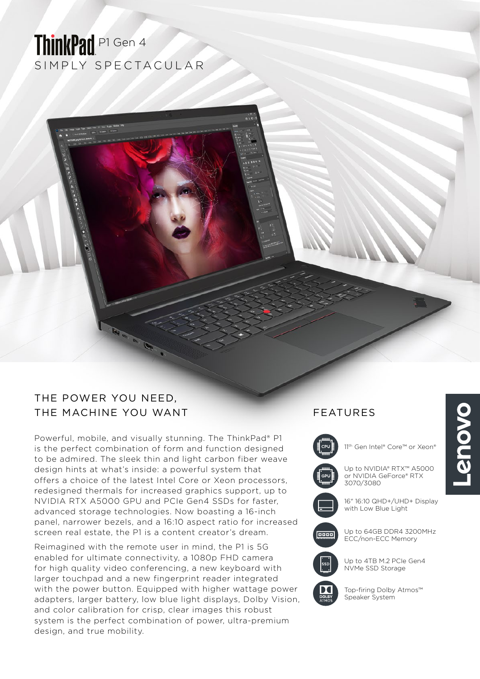# SIMPLY SPECTACULAR ThinkPad P1 Gen 4

## THE POWER YOU NEED, THE MACHINE YOU WANT FEATURES

Powerful, mobile, and visually stunning. The ThinkPad® P1 is the perfect combination of form and function designed to be admired. The sleek thin and light carbon fiber weave design hints at what's inside: a powerful system that offers a choice of the latest Intel Core or Xeon processors, redesigned thermals for increased graphics support, up to NVIDIA RTX A5000 GPU and PCIe Gen4 SSDs for faster, advanced storage technologies. Now boasting a 16-inch panel, narrower bezels, and a 16:10 aspect ratio for increased screen real estate, the P1 is a content creator's dream.

Reimagined with the remote user in mind, the P1 is 5G enabled for ultimate connectivity, a 1080p FHD camera for high quality video conferencing, a new keyboard with larger touchpad and a new fingerprint reader integrated with the power button. Equipped with higher wattage power adapters, larger battery, low blue light displays, Dolby Vision, and color calibration for crisp, clear images this robust system is the perfect combination of power, ultra-premium design, and true mobility.



11<sup>th</sup> Gen Intel® Core™ or Xeon®

Up to NVIDIA® RTX™ A5000 or NVIDIA GeForce® RTX 3070/3080

16" 16:10 QHD+/UHD+ Display with Low Blue Light

Up to 64GB DDR4 3200MHz ECC/non-ECC Memory



**DROP** 

Up to 4TB M.2 PCIe Gen4 NVMe SSD Storage

Top-firing Dolby Atmos™ Speaker System